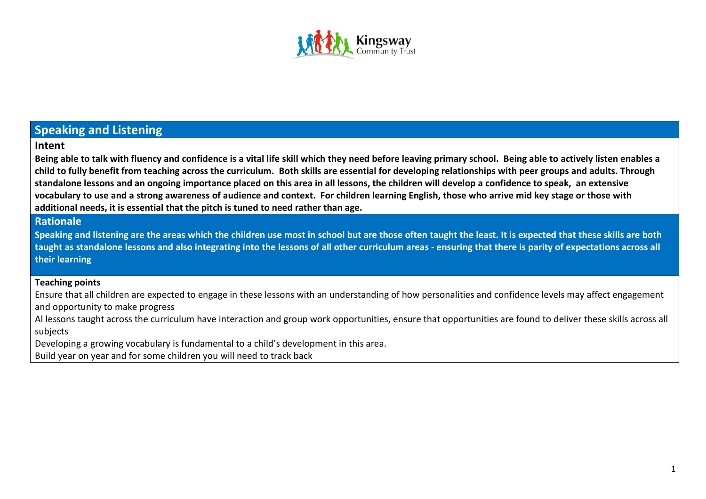

# **Speaking and Listening**

### **Intent**

**Being able to talk with fluency and confidence is a vital life skill which they need before leaving primary school. Being able to actively listen enables a child to fully benefit from teaching across the curriculum. Both skills are essential for developing relationships with peer groups and adults. Through standalone lessons and an ongoing importance placed on this area in all lessons, the children will develop a confidence to speak, an extensive vocabulary to use and a strong awareness of audience and context. For children learning English, those who arrive mid key stage or those with additional needs, it is essential that the pitch is tuned to need rather than age.**

## **Rationale**

**Speaking and listening are the areas which the children use most in school but are those often taught the least. It is expected that these skills are both taught as standalone lessons and also integrating into the lessons of all other curriculum areas - ensuring that there is parity of expectations across all their learning**

#### **Teaching points**

Ensure that all children are expected to engage in these lessons with an understanding of how personalities and confidence levels may affect engagement and opportunity to make progress

Al lessons taught across the curriculum have interaction and group work opportunities, ensure that opportunities are found to deliver these skills across all subjects

Developing a growing vocabulary is fundamental to a child's development in this area.

Build year on year and for some children you will need to track back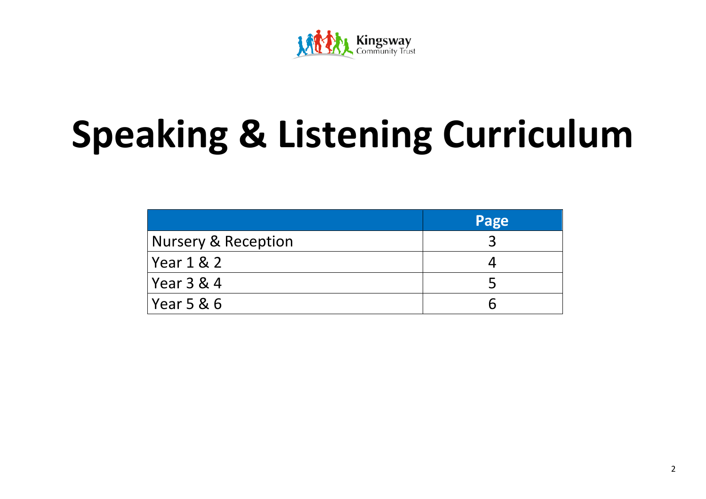

# **Speaking & Listening Curriculum**

|                     | Page |
|---------------------|------|
| Nursery & Reception |      |
| Year 1 & 2          |      |
| Year 3 & 4          |      |
| Year 5 & 6          |      |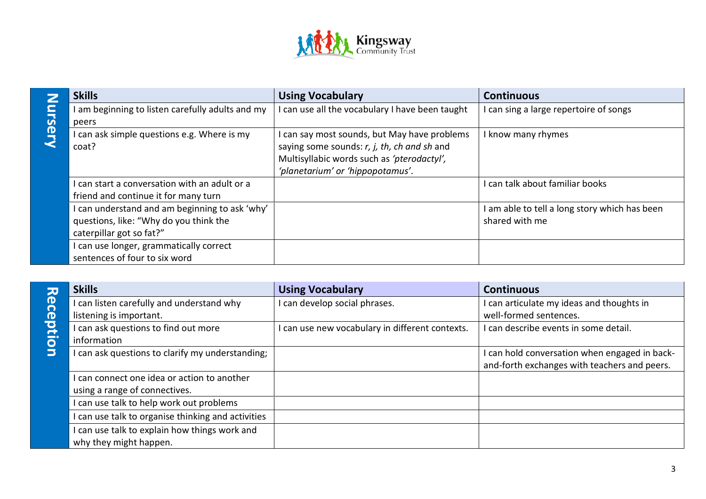

|   | <b>Skills</b>                                    | <b>Using Vocabulary</b>                       | <b>Continuous</b>                           |
|---|--------------------------------------------------|-----------------------------------------------|---------------------------------------------|
|   | I am beginning to listen carefully adults and my | can use all the vocabulary I have been taught | can sing a large repertoire of songs        |
|   | peers                                            |                                               |                                             |
| O | I can ask simple questions e.g. Where is my      | I can say most sounds, but May have problems  | I know many rhymes                          |
|   | coat?                                            | saying some sounds: r, j, th, ch and sh and   |                                             |
|   |                                                  | Multisyllabic words such as 'pterodactyl',    |                                             |
|   |                                                  | 'planetarium' or 'hippopotamus'.              |                                             |
|   | I can start a conversation with an adult or a    |                                               | can talk about familiar books               |
|   | friend and continue it for many turn             |                                               |                                             |
|   | I can understand and am beginning to ask 'why'   |                                               | am able to tell a long story which has been |
|   | questions, like: "Why do you think the           |                                               | shared with me                              |
|   | caterpillar got so fat?"                         |                                               |                                             |
|   | I can use longer, grammatically correct          |                                               |                                             |
|   | sentences of four to six word                    |                                               |                                             |

|          | <b>Skills</b>                                      | <b>Using Vocabulary</b>                         | <b>Continuous</b>                             |
|----------|----------------------------------------------------|-------------------------------------------------|-----------------------------------------------|
| Receptio | I can listen carefully and understand why          | I can develop social phrases.                   | I can articulate my ideas and thoughts in     |
|          | listening is important.                            |                                                 | well-formed sentences.                        |
|          | I can ask questions to find out more               | I can use new vocabulary in different contexts. | I can describe events in some detail.         |
|          | information                                        |                                                 |                                               |
|          | I can ask questions to clarify my understanding;   |                                                 | I can hold conversation when engaged in back- |
|          |                                                    |                                                 | and-forth exchanges with teachers and peers.  |
|          | I can connect one idea or action to another        |                                                 |                                               |
|          | using a range of connectives.                      |                                                 |                                               |
|          | I can use talk to help work out problems           |                                                 |                                               |
|          | I can use talk to organise thinking and activities |                                                 |                                               |
|          | I can use talk to explain how things work and      |                                                 |                                               |
|          | why they might happen.                             |                                                 |                                               |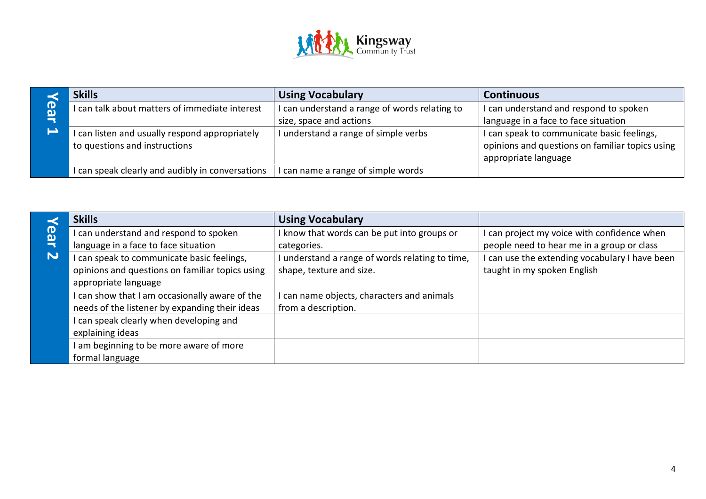

|                | <b>Skills</b>                                    | <b>Using Vocabulary</b>                     | <b>Continuous</b>                               |
|----------------|--------------------------------------------------|---------------------------------------------|-------------------------------------------------|
| <sup>(D)</sup> | I can talk about matters of immediate interest   | can understand a range of words relating to | I can understand and respond to spoken          |
|                |                                                  | size, space and actions                     | language in a face to face situation            |
| د              | I can listen and usually respond appropriately   | understand a range of simple verbs          | I can speak to communicate basic feelings,      |
|                | to questions and instructions                    |                                             | opinions and questions on familiar topics using |
|                |                                                  |                                             | appropriate language                            |
|                | I can speak clearly and audibly in conversations | can name a range of simple words            |                                                 |

|                           | <b>Skills</b>                                   | <b>Using Vocabulary</b>                         |                                              |
|---------------------------|-------------------------------------------------|-------------------------------------------------|----------------------------------------------|
| ည္                        | can understand and respond to spoken            | I know that words can be put into groups or     | can project my voice with confidence when    |
|                           | language in a face to face situation            | categories.                                     | people need to hear me in a group or class   |
| $\boldsymbol{\mathsf{N}}$ | can speak to communicate basic feelings,        | I understand a range of words relating to time, | can use the extending vocabulary I have been |
|                           | opinions and questions on familiar topics using | shape, texture and size.                        | taught in my spoken English                  |
|                           | appropriate language                            |                                                 |                                              |
|                           | I can show that I am occasionally aware of the  | I can name objects, characters and animals      |                                              |
|                           | needs of the listener by expanding their ideas  | from a description.                             |                                              |
|                           | can speak clearly when developing and           |                                                 |                                              |
|                           | explaining ideas                                |                                                 |                                              |
|                           | am beginning to be more aware of more           |                                                 |                                              |
|                           | formal language                                 |                                                 |                                              |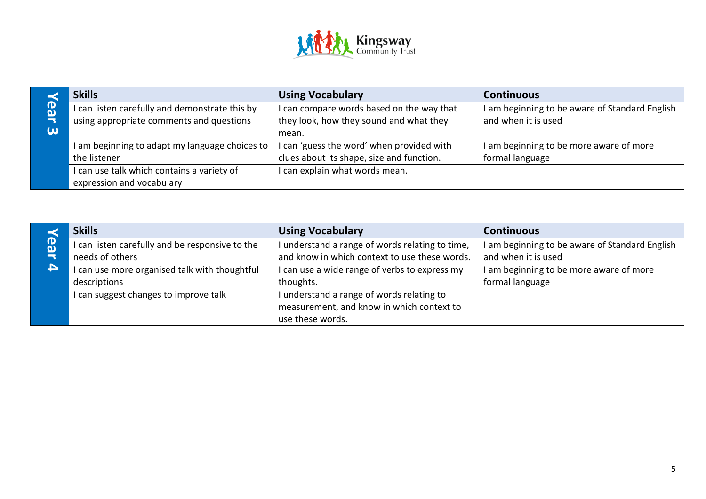

|                       | <b>Skills</b>                                  | <b>Using Vocabulary</b>                   | <b>Continuous</b>                              |
|-----------------------|------------------------------------------------|-------------------------------------------|------------------------------------------------|
| က္                    | I can listen carefully and demonstrate this by | I can compare words based on the way that | I am beginning to be aware of Standard English |
|                       | using appropriate comments and questions       | they look, how they sound and what they   | and when it is used                            |
| $\boldsymbol{\omega}$ |                                                | mean.                                     |                                                |
|                       | I am beginning to adapt my language choices to | I can 'guess the word' when provided with | I am beginning to be more aware of more        |
|                       | the listener                                   | clues about its shape, size and function. | formal language                                |
|                       | I can use talk which contains a variety of     | I can explain what words mean.            |                                                |
|                       | expression and vocabulary                      |                                           |                                                |

|    | <b>Skills</b>                                   | <b>Using Vocabulary</b>                         | <b>Continuous</b>                              |
|----|-------------------------------------------------|-------------------------------------------------|------------------------------------------------|
| (T | I can listen carefully and be responsive to the | I understand a range of words relating to time, | I am beginning to be aware of Standard English |
|    | needs of others                                 | and know in which context to use these words.   | and when it is used                            |
| A  | I can use more organised talk with thoughtful   | I can use a wide range of verbs to express my   | I am beginning to be more aware of more        |
|    | descriptions                                    | thoughts.                                       | formal language                                |
|    | I can suggest changes to improve talk           | I understand a range of words relating to       |                                                |
|    |                                                 | measurement, and know in which context to       |                                                |
|    |                                                 | use these words.                                |                                                |